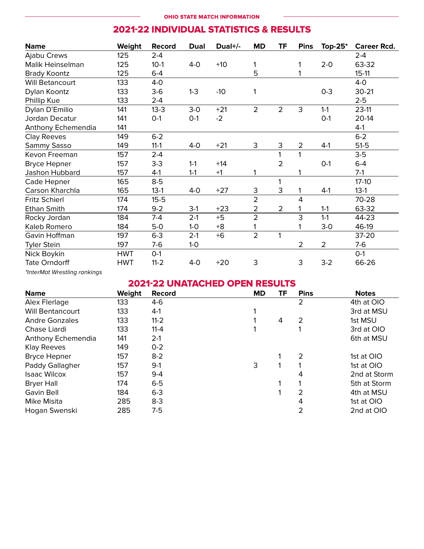# 202122 INDIVIDUAL STATISTICS & RESULTS

| <b>Name</b>                  | Weight     | Record   | <b>Dual</b> | Dual+/- | <b>MD</b>      | ΤF             | <b>Pins</b>    | Top- $25^*$    | <b>Career Rcd.</b> |
|------------------------------|------------|----------|-------------|---------|----------------|----------------|----------------|----------------|--------------------|
| Ajabu Crews                  | 125        | $2 - 4$  |             |         |                |                |                |                | $2 - 4$            |
| Malik Heinselman             | 125        | $10-1$   | $4-0$       | $+10$   | 1              |                | 1              | $2 - 0$        | 63-32              |
| <b>Brady Koontz</b>          | 125        | $6-4$    |             |         | 5              |                |                |                | $15 - 11$          |
| Will Betancourt              | 133        | $4-0$    |             |         |                |                |                |                | $4-0$              |
| Dylan Koontz                 | 133        | $3-6$    | $1-3$       | $-10$   |                |                |                | $0 - 3$        | $30 - 21$          |
| Phillip Kue                  | 133        | $2 - 4$  |             |         |                |                |                |                | $2 - 5$            |
| Dylan D'Emilio               | 141        | $13 - 3$ | $3-0$       | $+21$   | $\overline{2}$ | $\overline{2}$ | 3              | $1 - 1$        | $23-11$            |
| Jordan Decatur               | 141        | $0-1$    | $0-1$       | $-2$    |                |                |                | $O-1$          | 20-14              |
| Anthony Echemendia           | 141        |          |             |         |                |                |                |                | $4-1$              |
| <b>Clay Reeves</b>           | 149        | $6 - 2$  |             |         |                |                |                |                | $6 - 2$            |
| Sammy Sasso                  | 149        | $11 - 1$ | 4-0         | $+21$   | 3              | 3              | $\overline{2}$ | $4-1$          | $51-5$             |
| Kevon Freeman                | 157        | $2 - 4$  |             |         |                |                | 1              |                | $3-5$              |
| <b>Bryce Hepner</b>          | 157        | $3 - 3$  | $1 - 1$     | $+14$   |                | $\overline{2}$ |                | $O-1$          | $6-4$              |
| Jashon Hubbard               | 157        | $4-1$    | $1 - 1$     | $+1$    |                |                |                |                | $7-1$              |
| Cade Hepner                  | 165        | $8-5$    |             |         |                |                |                |                | $17-10$            |
| Carson Kharchla              | 165        | $13-1$   | $4-0$       | $+27$   | З              | 3              |                | $4-1$          | $13-1$             |
| Fritz Schierl                | 174        | $15 - 5$ |             |         | $\overline{2}$ |                | 4              |                | 70-28              |
| Ethan Smith                  | 174        | $9 - 2$  | $3-1$       | $+23$   | 2              | $\overline{2}$ |                | $1-1$          | 63-32              |
| Rocky Jordan                 | 184        | $7-4$    | $2-1$       | $+5$    | $\overline{2}$ |                | 3              | $1 - 1$        | 44-23              |
| Kaleb Romero                 | 184        | $5-0$    | $1-0$       | $+8$    |                |                |                | $3-0$          | 46-19              |
| Gavin Hoffman                | 197        | $6-3$    | $2-1$       | $+6$    | $\overline{2}$ | 1              |                |                | 37-20              |
| <b>Tyler Stein</b>           | 197        | $7-6$    | $1-0$       |         |                |                | $\overline{2}$ | $\overline{2}$ | $7-6$              |
| Nick Boykin                  | <b>HWT</b> | $O-1$    |             |         |                |                |                |                | $O-1$              |
| <b>Tate Orndorff</b>         | <b>HWT</b> | $11 - 2$ | $4-0$       | $+20$   | 3              |                | 3              | $3-2$          | 66-26              |
| *InterMat Wrestling rankings |            |          |             |         |                |                |                |                |                    |

# 202122 UNATACHED OPEN RESULTS

| <b>Name</b>             | Weight | <b>Record</b> | <b>MD</b> | ΤF | <b>Pins</b> | <b>Notes</b> |
|-------------------------|--------|---------------|-----------|----|-------------|--------------|
| Alex Flerlage           | 133    | $4-6$         |           |    | 2           | 4th at OIO   |
| <b>Will Bentancourt</b> | 133    | $4-1$         |           |    |             | 3rd at MSU   |
| <b>Andre Gonzales</b>   | 133    | $11 - 2$      |           | 4  | 2           | 1st MSU      |
| Chase Liardi            | 133    | $11 - 4$      |           |    |             | 3rd at OIO   |
| Anthony Echemendia      | 141    | $2-1$         |           |    |             | 6th at MSU   |
| <b>Klay Reeves</b>      | 149    | $O - 2$       |           |    |             |              |
| <b>Bryce Hepner</b>     | 157    | $8 - 2$       |           |    | 2           | 1st at OIO   |
| Paddy Gallagher         | 157    | $9-1$         | 3         |    |             | 1st at OIO   |
| <b>Isaac Wilcox</b>     | 157    | $9-4$         |           |    | 4           | 2nd at Storm |
| <b>Bryer Hall</b>       | 174    | $6-5$         |           |    |             | 5th at Storm |
| Gavin Bell              | 184    | $6-3$         |           |    | 2           | 4th at MSU   |
| Mike Misita             | 285    | $8 - 3$       |           |    | 4           | 1st at OIO   |
| Hogan Swenski           | 285    | 7-5           |           |    |             | 2nd at OIO   |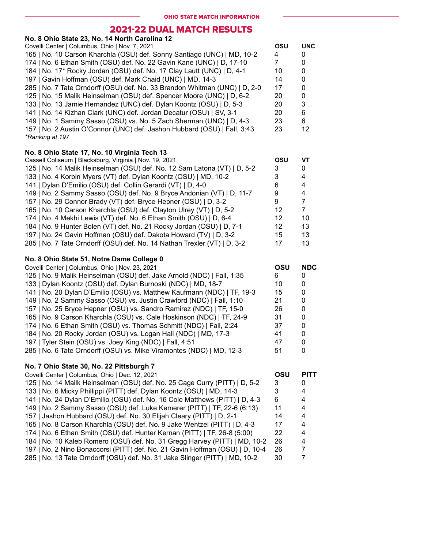## 202122 DUAL MATCH RESULTS

| No. 8 Ohio State 23, No. 14 North Carolina 12                                |            |                           |
|------------------------------------------------------------------------------|------------|---------------------------|
| Covelli Center   Columbus, Ohio   Nov. 7, 2021                               | <b>OSU</b> | <b>UNC</b>                |
| 165   No. 10 Carson Kharchla (OSU) def. Sonny Santiago (UNC)   MD, 10-2      | 4          | 0                         |
| 174   No. 6 Ethan Smith (OSU) def. No. 22 Gavin Kane (UNC)   D, 17-10        | 7          | 0                         |
| 184   No. 17* Rocky Jordan (OSU) def. No. 17 Clay Lautt (UNC)   D, 4-1       | 10         | 0                         |
| 197   Gavin Hoffman (OSU) def. Mark Chaid (UNC)   MD, 14-3                   | 14         | $\pmb{0}$                 |
| 285   No. 7 Tate Orndorff (OSU) def. No. 33 Brandon Whitman (UNC)   D, 2-0   | 17         | 0                         |
| 125   No. 15 Malik Heinselman (OSU) def. Spencer Moore (UNC)   D, 6-2        | 20         | 0                         |
| 133   No. 13 Jamie Hernandez (UNC) def. Dylan Koontz (OSU)   D, 5-3          | 20         | $\ensuremath{\mathsf{3}}$ |
|                                                                              |            |                           |
| 141   No. 14 Kizhan Clark (UNC) def. Jordan Decatur (OSU)   SV, 3-1          | 20         | 6                         |
| 149   No. 1 Sammy Sasso (OSU) vs. No. 5 Zach Sherman (UNC)   D, 4-3          | 23         | 6                         |
| 157   No. 2 Austin O'Connor (UNC) def. Jashon Hubbard (OSU)   Fall, 3:43     | 23         | 12                        |
| *Ranking at 197                                                              |            |                           |
| No. 8 Ohio State 17, No. 10 Virginia Tech 13                                 |            |                           |
| Cassell Coliseum   Blacksburg, Virginia   Nov. 19, 2021                      | OSU        | <b>VT</b>                 |
| 125   No. 14 Malik Heinselman (OSU) def. No. 12 Sam Latona (VT)   D, 5-2     | 3          | 0                         |
| 133   No. 4 Korbin Myers (VT) def. Dylan Koontz (OSU)   MD, 10-2             | 3          | 4                         |
|                                                                              |            |                           |
| 141   Dylan D'Emilio (OSU) def. Collin Gerardi (VT)   D, 4-0                 | 6          | 4                         |
| 149   No. 2 Sammy Sasso (OSU) def. No. 9 Bryce Andonian (VT)   D, 11-7       | 9          | 4                         |
| 157   No. 29 Connor Brady (VT) def. Bryce Hepner (OSU)   D, 3-2              | 9          | $\overline{7}$            |
| 165   No. 10 Carson Kharchla (OSU) def. Clayton Ulrey (VT)   D, 5-2          | 12         | $\overline{7}$            |
| 174   No. 4 Mekhi Lewis (VT) def. No. 6 Ethan Smith (OSU)   D, 6-4           | 12         | 10                        |
| 184   No. 9 Hunter Bolen (VT) def. No. 21 Rocky Jordan (OSU)   D, 7-1        | 12         | 13                        |
| 197   No. 24 Gavin Hoffman (OSU) def. Dakota Howard (TV)   D, 3-2            | 15         | 13                        |
| 285   No. 7 Tate Orndorff (OSU) def. No. 14 Nathan Trexler (VT)   D, 3-2     | 17         | 13                        |
| No. 8 Ohio State 51, Notre Dame College 0                                    |            |                           |
| Covelli Center   Columbus, Ohio   Nov. 23, 2021                              | OSU        | <b>NDC</b>                |
| 125   No. 9 Malik Heinselman (OSU) def. Jake Arnold (NDC)   Fall, 1:35       | 6          | 0                         |
|                                                                              | 10         | $\pmb{0}$                 |
| 133   Dylan Koontz (OSU) def. Dylan Burnoski (NDC)   MD, 18-7                |            |                           |
| 141   No. 20 Dylan D'Emilio (OSU) vs. Matthew Kaufmann (NDC)   TF, 19-3      | 15         | 0                         |
| 149   No. 2 Sammy Sasso (OSU) vs. Justin Crawford (NDC)   Fall, 1:10         | 21         | 0                         |
| 157   No. 25 Bryce Hepner (OSU) vs. Sandro Ramirez (NDC)   TF, 15-0          | 26         | 0                         |
| 165   No. 9 Carson Kharchla (OSU) vs. Cale Hoskinson (NDC)   TF, 24-9        | 31         |                           |
|                                                                              |            | $\pmb{0}$                 |
| 174   No. 6 Ethan Smith (OSU) vs. Thomas Schmitt (NDC)   Fall, 2:24          | 37         | 0                         |
| 184   No. 20 Rocky Jordan (OSU) vs. Logan Hall (NDC)   MD, 17-3              | 41         | $\mathbf 0$               |
| 197   Tyler Stein (OSU) vs. Joey King (NDC)   Fall, 4:51                     | 47         | 0                         |
| 285   No. 6 Tate Orndorff (OSU) vs. Mike Viramontes (NDC)   MD, 12-3         | 51         | 0                         |
|                                                                              |            |                           |
| No. 7 Ohio State 30, No. 22 Pittsburgh 7                                     |            |                           |
| Covelli Center   Columbus, Ohio   Dec. 12, 2021                              | OSU        | <b>PITT</b>               |
| 125   No. 14 Mailk Heinselman (OSU) def. No. 25 Cage Curry (PITT)   D, 5-2   | 3          | 0                         |
| 133   No. 6 Micky Phillippi (PITT) def. Dylan Koontz (OSU)   MD, 14-3        | 3          | 4                         |
| 141   No. 24 Dylan D'Emilio (OSU) def. No. 16 Cole Matthews (PITT)   D, 4-3  | 6          | 4                         |
| 149   No. 2 Sammy Sasso (OSU) def. Luke Kemerer (PITT)   TF, 22-6 (6:13)     | 11         | 4                         |
| 157   Jashon Hubbard (OSU) def. No. 30 Elijah Cleary (PITT)   D, 2-1         | 14         | 4                         |
| 165   No. 8 Carson Kharchla (OSU) def. No. 9 Jake Wentzel (PITT)   D, 4-3    | 17         | 4                         |
| 174   No. 6 Ethan Smith (OSU) def. Hunter Kernan (PITT)   TF, 26-8 (5:00)    | 22         | 4                         |
| 184   No. 10 Kaleb Romero (OSU) def. No. 31 Gregg Harvey (PITT)   MD, 10-2   | 26         | 4                         |
| 197   No. 2 Nino Bonaccorsi (PITT) def. No. 21 Gavin Hoffman (OSU)   D, 10-4 | 26         | 7                         |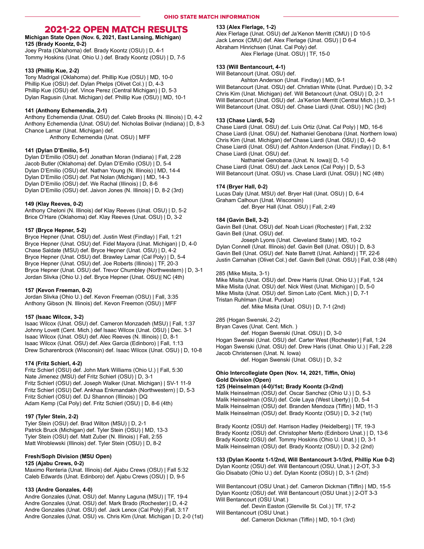## 202122 OPEN MATCH RESULTS

Michigan State Open (Nov. 6, 2021, East Lansing, Michigan) 125 (Brady Koontz, 0-2)

Joey Prata (Oklahoma) def. Brady Koontz (OSU) | D, 4-1 Tommy Hoskins (Unat. Ohio U.) def. Brady Koontz (OSU) | D, 7-5

## 133 (Phillip Kue, 2-2)

Tony Madrigal (Oklahoma) def. Phillip Kue (OSU) | MD, 10-0 Phillip Kue (OSU) def. Dylan Phelps (Olivet Col.) | D, 4-3 Phillip Kue (OSU) def. Vince Perez (Central Michigan) | D, 5-3 Dylan Ragusin (Unat. Michigan) def. Phillip Kue (OSU) | MD, 10-1

## 141 (Anthony Echemendia, 2-1)

Anthony Echemendia (Unat. OSU) def. Caleb Brooks (N. Illinois) | D, 4-2 Anthony Echemendia (Unat. OSU) def. Nicholas Bolivar (Indiana) | D, 8-3 Chance Lamar (Unat. Michigan) def.

Anthony Echemendia (Unat. OSU) | MFF

## 141 (Dylan D'Emilio, 5-1)

Dylan D'Emilio (OSU) def. Jonathan Moran (Indiana) | Fall, 2:28 Jacob Butler (Oklahoma) def. Dylan D'Emilio (OSU) | D, 5-4 Dylan D'Emilio (OSU) def. Nathan Young (N. Illinois) | MD, 14-4 Dylan D'Emilio (OSU) def. Pat Nolan (Michigan) | MD, 14-3 Dylan D'Emilio (OSU) def. We Rachal (Illinois) | D, 8-6 Dylan D'Emilio (OSU) def. Jaivon Jones (N. Illinois) | D, 8-2 (3rd)

#### 149 (Klay Reeves, 0-2)

Anthony Cheloni (N. Illinois) def Klay Reeves (Unat. OSU) | D, 5-2 Brice O'Hare (Oklahoma) def. Klay Reeves (Unat. OSU) | D, 3-2

## 157 (Bryce Hepner, 5-2)

Bryce Hepner (Unat. OSU) def. Justin West (Findlay) | Fall, 1:21 Bryce Hepner (Unat. OSU) def. Fidel Mayora (Unat. Michigan) | D, 4-0 Chase Saldate (MSU) def. Bryce Hepner (Unat. OSU) | D, 4-2 Bryce Hepner (Unat. OSU) def. Brawley Lamar (Cal Poly) | D, 5-4 Bryce Hepner (Unat. OSU) def. Joe Roberts (Illinois) | TF, 20-3 Bryce Hepner (Unat. OSU) def. Trevor Chumbley (Northwestern) | D, 3-1 Jordan Slivka (Ohio U.) def. Bryce Hepner (Unat. OSU)| NC (4th)

#### 157 (Kevon Freeman, 0-2)

Jordan Slivka (Ohio U.) def. Kevon Freeman (OSU) | Fall, 3:35 Anthony Gibson (N. Illinois) def. Kevon Freemon (OSU) | MFF

### 157 (Isaac Wilcox, 3-2)

Isaac Wilcox (Unat. OSU) def. Cameron Monzadeh (MSU) | Fall, 1:37 Johnny Lovett (Cent. Mich.) def Isaac Wilcox (Unat. OSU) | Dec. 3-1 Isaac Wilcox (Unat. OSU) def. Alec Reeves (N. Illinois) | D, 8-1 Isaac Wilcox (Unat. OSU) def. Alex Garcia (Edinboro) | Fall, 1:13 Drew Scharenbrock (Wisconsin) def. Isaac Wilcox (Unat. OSU) | D, 10-8

#### 174 (Fritz Schierl, 4-2)

Fritz Schierl (OSU) def. John Mark Williams (Ohio U.) | Fall, 5:30 Nate Jimenez (MSU) def Fritz Schierl (OSU) | D, 3-1 Fritz Schierl (OSU) def. Joseph Walker (Unat. Michigan) | SV-1 11-9 Fritz Schierl (OSU) Def. Ankhaa Enkmandakh (Northwestern) | D, 5-3 Fritz Schierl (OSU) def. DJ Shannon (Illinois) | DQ Adam Kemp (Cal Poly) def. Fritz Schierl (OSU) | D, 8-6 (4th)

#### 197 (Tyler Stein, 2-2)

Tyler Stein (OSU) def. Brad Wilton (MSU) | D, 2-1 Patrick Bruck (Michigan) def. Tyler Stein (OSU) | MD, 13-3 Tyler Stein (OSU) def. Matt Zuber (N. Illinois) | Fall, 2:55 Matt Wroblewski (Illinois) def. Tyler Stein (OSU) | D, 8-2

## Fresh/Soph Division (MSU Open)

## 125 (Ajabu Crews, 0-2)

Maximo Renteria (Unat. Illinois) def. Ajabu Crews (OSU) | Fall 5:32 Caleb Edwards (Unat. Edinboro) def. Ajabu Crews (OSU) | D, 9-5

## 133 (Andre Gonzales, 4-0)

Andre Gonzales (Unat. OSU) def. Manny Laguna (MSU) | TF, 19-4 Andre Gonzales (Unat. OSU) def. Mark Brado (Rochester) | D, 4-2 Andre Gonzales (Unat. OSU) def. Jack Lenox (Cal Poly) |Fall, 3:17 Andre Gonzales (Unat. OSU) vs. Chris Kim (Unat. Michigan | D, 2-0 (1st)

## 133 (Alex Flerlage, 1-2)

Alex Flerlage (Unat. OSU) def Ja'Kenon Merritt (CMU) | D 10-5 Jack Lenox (CMU) def. Alex Flerlage (Unat. OSU) | D 6-4 Abraham Hinrichsen (Unat. Cal Poly) def. Alex Flerlage (Unat. OSU) | TF, 15-0

## 133 (Will Bentancourt, 4-1)

Will Betancourt (Unat. OSU) def. Ashton Anderson (Unat. Findlay) | MD, 9-1

Will Betancourt (Unat. OSU) def. Christian White (Unat. Purdue) | D, 3-2 Chris Kim (Unat. Michigan) def. Will Betancourt (Unat. OSU) | D, 2-1 Will Betancourt (Unat. OSU) def. Ja'Kerion Merritt (Central Mich.) | D, 3-1 Will Betancourt (Unat. OSU) def. Chase Liardi (Unat. OSU) | NC (3rd)

## 133 (Chase Liardi, 5-2)

Chase Liardi (Unat. OSU) def. Luis Ortiz (Unat. Cal Poly) | MD, 16-6 Chase Liardi (Unat. OSU) def. Nathaniel Genobana (Unat. Northern Iowa) Chris Kim (Unat. Michigan) def Chase Liardi (Unat. OSU) | D, 4-0 Chase Liardi (Unat. OSU) def. Ashton Anderson (Unat. Findlay) | D, 8-1 Chase Liardi (Unat. OSU) def.

 Nathaniel Genobana (Unat. N. Iowa)| D, 1-0 Chase Liardi (Unat. OSU) def. Jack Lenox (Cal Poly) | D, 5-3 Will Betancourt (Unat. OSU) vs. Chase Liardi (Unat. OSU) | NC (4th)

## 174 (Bryer Hall, 0-2)

Lucas Daly (Unat. MSU) def. Bryer Hall (Unat. OSU) | D, 6-4 Graham Calhoun (Unat. Wisconsin) def. Bryer Hall (Unat. OSU) | Fall, 2:49

## 184 (Gavin Bell, 3-2)

Gavin Bell (Unat. OSU) def. Noah Licari (Rochester) | Fall, 2:32 Gavin Bell (Unat. OSU) def.

 Joseph Lyons (Unat. Cleveland State) | MD, 10-2 Dylan Connell (Unat. Illinois) def. Gavin Bell (Unat. OSU) | D, 8-3 Gavin Bell (Unat. OSU) def. Nate Barrett (Unat. Ashland) | TF, 22-6 Justin Carnahan (Olivet Col.) def. Gavin Bell (Unat. OSU) | Fall, 0:38 (4th)

### 285 (Mike Misita, 3-1)

Mike Misita (Unat. OSU) def. Drew Harris (Unat. Ohio U.) | Fall, 1:24 Mike Misita (Unat. OSU) def. Nick West (Unat. Michigan) | D, 5-0 Mike Misita (Unat. OSU) def. Simon Lato (Cent. Mich.) | D, 7-1 Tristan Ruhlman (Unat. Purdue) def. Mike Misita (Unat. OSU) | D, 7-1 (2nd)

285 (Hogan Swenski, 2-2)

Bryan Caves (Unat. Cent. Mich. )

def. Hogan Swenski (Unat. OSU) | D, 3-0

Hogan Swenski (Unat. OSU) def. Carter West (Rochester) | Fall, 1:24 Hogan Swenski (Unat. OSU) def. Drew Haris (Unat. Ohio U.) | Fall, 2:28 Jacob Christensen (Unat. N. Iowa) def. Hogan Swenski (Unat. OSU) | D, 3-2

## Ohio Intercollegiate Open (Nov. 14, 2021, Tiffin, Ohio) Gold Division (Open)

125 (Heinselman (4-0)/1st; Brady Koontz (3-/2nd) Malik Heinselman (OSU) def. Oscar Sanchez (Ohio U.) | D, 5-3 Malik Heinselman (OSU) def. Cole Laya (West Liberty) | D, 5-4 Malik Heinselman (OSU) def. Branden Mendoza (Tiffin) | MD, 11-3 Malik Heinselman (OSU) def. Brady Koontz (OSU) | D, 3-2 (1st)

Brady Koontz (OSU) def. Harrison Hadley (Heidelberg) | TF, 19-3 Brady Koontz (OSU) def. Christopher Merto (Edinboro Unat.) | D, 13-6 Brady Koontz (OSU) def. Tommy Hoskins (Ohio U. Unat.) | D, 3-1 Malik Heinselman (OSU) def. Brady Koontz (OSU) | D, 3-2 (2nd)

133 (Dylan Koontz 1-1/2nd, Will Bentancourt 3-1/3rd, Phillip Kue 0-2) Dylan Koontz (OSU) def. Will Bentancourt (OSU, Unat.) | 2-OT, 3-3 Gio Disabato (Ohio U.) def. Dylan Koontz (OSU) | D, 3-1 (2nd)

Will Bentancourt (OSU Unat.) def. Cameron Dickman (Tiffin) | MD, 15-5 Dylan Koontz (OSU) def. Will Bentancourt (OSU Unat.) | 2-OT 3-3 Will Bentancourt (OSU Unat.)

 def. Devin Easton (Glenville St. Col.) | TF, 17-2 Will Bentancourt (OSU Unat.)

def. Cameron Dickman (Tiffin) | MD, 10-1 (3rd)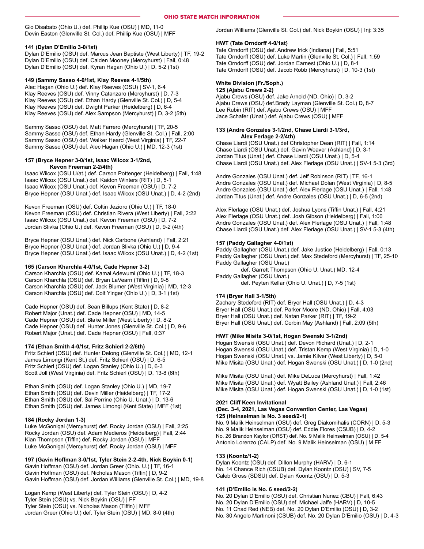Gio Disabato (Ohio U.) def. Phillip Kue (OSU) | MD, 11-0 Devin Easton (Glenville St. Col.) def. Phillip Kue (OSU) | MFF

## 141 (Dylan D'Emilio 3-0/1st)

Dylan D'Emilio (OSU) def. Marcus Jean Baptiste (West Liberty) | TF, 19-2 Dylan D'Emilio (OSU) def. Caiden Mooney (Mercyhurst) | Fall, 0:48 Dylan D'Emilio (OSU) def. Kyran Hagan (Ohio U.) | D, 5-2 (1st)

## 149 (Sammy Sasso 4-0/1st, Klay Reeves 4-1/5th)

Alec Hagan (Ohio U.) def. Klay Reeves (OSU) | SV-1, 6-4 Klay Reeves (OSU) def. Vinny Catanzaro (Mercyhurst) | D, 7-3 Klay Reeves (OSU) def. Ethan Hardy (Glenville St. Col.) | D, 5-4 Klay Reeves (OSU) def. Dwight Parker (Heidelberg) | D, 6-4 Klay Reeves (OSU) def. Alex Sampson (Mercyhurst) | D, 3-2 (5th)

Sammy Sasso (OSU) def. Matt Farrero (Mercyhurst) | TF, 20-5 Sammy Sasso (OSU) def. Ethan Hardy (Glenville St. Col.) | Fall, 2:00 Sammy Sasso (OSU) def. Walker Heard (West Virginia) | TF, 22-7 Sammy Sasso (OSU) def. Alec Hagan (Ohio U.) | MD, 12-3 (1st)

#### 157 (Bryce Hepner 3-0/1st, Isaac Wilcox 3-1/2nd, Kevon Freeman 2-2/4th)

Isaac Wilcox (OSU U/at.) def. Carson Pottenger (Heidelberg) | Fall, 1:48 Isaac Wilcox (OSU Unat.) def. Kaidon Winters (RIT) | D, 5-1 Isaac Wilcox (OSU Unat.) def. Kevon Freeman (OSU) | D, 7-2 Bryce Hepner (OSU Unat.) def. Isaac Wilcox (OSU Unat.) | D, 4-2 (2nd)

Kevon Freeman (OSU) def. Coltin Jezioro (Ohio U.) | TF, 18-0 Kevon Freeman (OSU) def. Christian Rivera (West Liberty) | Fall, 2:22 Isaac Wilcox (OSU Unat.) def. Kevon Freeman (OSU) | D, 7-2 Jordan Slivka (Ohio U.) def. Kevon Freeman (OSU) | D, 9-2 (4th)

Bryce Hepner (OSU Unat.) def. Nick Carbone (Ashland) | Fall, 2:21 Bryce Hepner (OSU Unat.) def. Jordan Slivka (Ohio U.) | D, 9-4 Bryce Hepner (OSU Unat.) def. Isaac Wilcox (OSU Unat.) | D, 4-2 (1st)

#### 165 (Carson Kharchla 4-0/1st, Cade Hepner 3-2)

Carson Kharchla (OSU) def. Kamal Adewumi (Ohio U.) | TF, 18-3 Carson Kharchla (OSU) def. Bryan LaVearn (Tiffin) | D, 9-8 Carson Kharchla (OSU) def. Jack Blumer (West Virginia) | MD, 12-3 Carson Kharchla (OSU) def. Colt Yinger (Ohio U.) | D, 3-1 (1st)

Cade Hepner (OSU) def. Sean Billups (Kent State) | D, 8-2 Robert Major (Unat.) def. Cade Hepner (OSU) | MD, 14-5 Cade Hepner (OSU) def. Blake Miller (West Liberty) | D, 8-2 Cade Hepner (OSU) def. Hunter Jones (Glenville St. Col.) | D, 9-6 Robert Major (Unat.) def. Cade Hepner (OSU) | Fall, 0:37

## 174 (Ethan Smith 4-0/1st, Fritz Schierl 2-2/6th)

Fritz Schierl (OSU) def. Hunter Delong (Glenville St. Col.) | MD, 12-1 James Limongi (Kent St.) def. Fritz Schierl (OSU) | D, 6-5 Fritz Schierl (OSU) def. Logan Stanley (Ohio U.) | D, 6-3 Scott Joll (West Virginia) def. Fritz Schierl (OSU) | D, 13-8 (6th)

Ethan Smith (OSU) def. Logan Stanley (Ohio U.) | MD, 19-7 Ethan Smith (OSU) def. Devin Miller (Heidelberg) | TF, 17-2 Ethan Smith (OSU) def. Sal Perrine (Ohio U. Unat.) | D, 13-6 Ethan Smith (OSU) def. James Limongi (Kent State) | MFF (1st)

#### 184 (Rocky Jordan 1-3)

Luke McGonigal (Mercyhurst) def. Rocky Jordan (OSU) | Fall, 2:25 Rocky Jordan (OSU) def. Adam Medieros (Heidelberg) | Fall, 2:44 Kian Thompson (Tiffin) def. Rocky Jordan (OSU) | MFF Luke McGonigal (Mercyhurst) def. Rocky Jordan (OSU) | MFF

#### 197 (Gavin Hoffman 3-0/1st, Tyler Stein 2-2-4th, Nick Boykin 0-1)

Gavin Hoffman (OSU) def. Jordan Greer (Ohio. U.) | TF, 16-1 Gavin Hoffman (OSU) def. Nicholas Mason (Tiffin) | D, 9-2 Gavin Hoffman (OSU) def. Jordan Williams (Glenville St. Col.) | MD, 19-8

Logan Kemp (West Liberty) def. Tyler Stein (OSU) | D, 4-2 Tyler Stein (OSU) vs. Nick Boykin (OSU) | FF Tyler Stein (OSU) vs. Nicholas Mason (Tiffin) | MFF Jordan Greer (Ohio U.) def. Tyler Stein (OSU) | MD, 8-0 (4th) Jordan Williams (Glenville St. Col.) def. Nick Boykin (OSU) | Inj: 3:35

### HWT (Tate Orndorff 4-0/1st)

Tate Orndorff (OSU) def. Andrew Irick (Indiana) | Fall, 5:51 Tate Orndorff (OSU) def. Luke Martin (Glenville St. Col.) | Fall, 1:59 Tate Orndorff (OSU) def. Jordan Earnest (Ohio U.) | D, 8-1 Tate Orndorff (OSU) def. Jacob Robb (Mercyhurst) | D, 10-3 (1st)

## White Division (Fr./Soph.)

125 (Ajabu Crews 2-2)

Ajabu Crews (OSU) def. Jake Arnold (ND, Ohio) | D, 3-2 Ajabu Crews (OSU) def.Brady Layman (Glenville St. Col.) D, 8-7 Lee Rubin (RIT) def. Ajabu Crews (OSU) | MFF Jace Schafer (Unat.) def. Ajabu Crews (OSU) | MFF

## 133 (Andre Gonzales 3-1/2nd, Chase Liardi 3-1/3rd, Alex Ferlage 2-2/4th)

Chase Liardi (OSU Unat.) def Christopher Dean (RIT) | Fall, 1:14 Chase Liardi (OSU Unat.) def. Gavin Weaver (Ashland) | D, 3-1 Jordan Titus (Unat.) def. Chase Liardi (OSU Unat.) | D, 5-4 Chase Liardi (OSU Unat.) def. Alex Flerlage (OSU Unat.) | SV-1 5-3 (3rd)

Andre Gonzales (OSU Unat.) def. Jeff Robinson (RIT) | TF, 16-1 Andre Gonzales (OSU Unat.) def. Michael Dolan (West Virginia) | D, 8-5 Andre Gonzales (OSU Unat.) def. Alex Flerlage (OSU Unat.) | Fall, 1:48 Jordan Titus (Unat.) def. Andre Gonzales (OSU Unat.) | D, 6-5 (2nd)

Alex Flerlage (OSU Unat.) def. Joshua Lyons (Tiffin Unat.) | Fall, 4:21 Alex Flerlage (OSU Unat.) def. Josh Gibson (Heidelberg) | Fall, 1:00 Andre Gonzales (OSU Unat.) def. Alex Flerlage (OSU Unat.) | Fall, 1:48 Chase Liardi (OSU Unat.) def. Alex Flerlage (OSU Unat.) | SV-1 5-3 (4th)

## 157 (Paddy Gallagher 4-0/1st)

Paddy Gallagher (OSU Unat.) def. Jake Justice (Heidelberg) | Fall, 0:13 Paddy Gallagher (OSU Unat.) def. Max Stedeford (Mercyhurst) | TF, 25-10 Paddy Gallagher (OSU Unat.) def. Garrett Thompson (Ohio U. Unat.) MD, 12-4 Paddy Gallagher (OSU Unat.)

def. Peyten Kellar (Ohio U. Unat.) | D, 7-5 (1st)

## 174 (Bryer Hall 3-1/5th)

Zachary Stedeford (RIT) def. Bryer Hall (OSU Unat.) | D, 4-3 Bryer Hall (OSU Unat.) def. Parker Moore (ND, Ohio) | Fall, 4:03 Bryer Hall (OSU Unat.) def. Natan Parker (RIT) | TF, 19-2 Bryer Hall (OSU Unat.) def. Corbin May (Ashland) | Fall, 2:09 (5th)

#### HWT (Mike Misita 3-0/1st, Hogan Swenski 3-1/2nd)

Hogan Swenski (OSU Unat.) def. Devon Richard (Unat.) | D, 2-1 Hogan Swenski (OSU Unat.) def. Tristan Kemp (West Virginia) | D, 1-0 Hogan Swenski (OSU Unat.) vs. Jamie Kilver (West Liberty) | D, 5-0 Mike Misita (OSU Unat.) def. Hogan Swenski (OSU Unat.) | D, 1-0 (2nd)

Mike Misita (OSU Unat.) def. Mike DeLuca (Mercyhurst) | Fall, 1:42 Mike Misita (OSU Unat.) def. Wyatt Bailey (Ashland Unat.) | Fall, 2:46 Mike Misita (OSU Unat.) def. Hogan Swenski (OSU Unat.) | D, 1-0 (1st)

## 2021 Cliff Keen Invitational

## (Dec. 3-4, 2021, Las Vegas Convention Center, Las Vegas) 125 (Heinselman is No. 3 seed/2-1)

No. 9 Malik Heinselman (OSU) def. Greg Diakomihalis (CORN) | D, 5-3 No. 9 Malik Heinselman (OSU) def. Eddie Flores (CSUB) | D, 4-2 No. 26 Brandon Kaylor (ORST) def. No. 9 Malik Heinselman (OSU) | D, 5-4 Antonio Lorenzo (CALP) def. No. 9 Malik Heinselman (OSU) | M FF

## 133 (Koontz/1-2)

Dylan Koontz (OSU) def. Dillon Murphy (HARV) | D, 6-1 No. 14 Chance Rich (CSUB) def. Dylan Koontz (OSU) | SV, 7-5 Caleb Gross (SDSU) def. Dylan Koontz (OSU) | D, 5-3

## 141 (D'Emilio is No. 6 seed/2-2)

No. 20 Dylan D'Emilio (OSU) def. Christian Nunez (CBU) | Fall, 6:43 No. 20 Dylan D'Emilio (OSU) def. Michael Jaffe (HARV) | D, 10-5 No. 11 Chad Red (NEB) def. No. 20 Dylan D'Emilio (OSU) | D, 3-2 No. 30 Angelo Martinoni (CSUB) def. No. 20 Dylan D'Emilio (OSU) | D, 4-3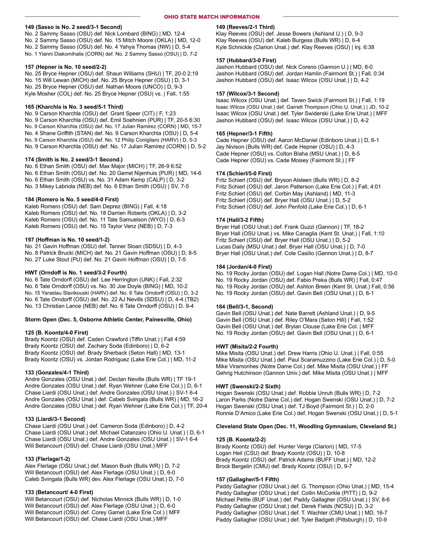## OHIO STATE MATCH INFORMATION

## 149 (Sasso is No. 2 seed/3-1 Second)

No. 2 Sammy Sasso (OSU) def. Nick Lombard (BING) | MD, 12-4 No. 2 Sammy Sasso (OSU) def. No. 15 Mitch Moore (OKLA) | MD, 12-0 No. 2 Sammy Sasso (OSU) def. No. 4 Yahya Thomas (NW) | D, 5-4 No. 1 Yianni Diakomihalis (CORN) def. No. 2 Sammy Sasso (OSU) | D, 7-2

#### 157 (Hepner is No. 10 seed/2-2)

No. 25 Bryce Hepner (OSU) def. Shaun Williams (SHU) | TF, 20-0 2:19 No. 15 Will Lewan (MICH) def. No. 25 Bryce Hepner (OSU) | D, 3-1 No. 25 Bryce Hepner (OSU) def. Nathan Moore (UNCO) | D, 9-3 Kyle Mosher (COL) def. No. 25 Bryce Hepner (OSU) vs. | Fall, 1:55

#### 165 (Kharchla is No. 3 seed/5-1 Third)

No. 9 Carson Kharchla (OSU) def. Grant Speer (CIT) | F, 1:23 No. 9 Carson Kharchla (OSU) def. Emil Soehnien (PUR) | TF, 20-5 6:30 No. 9 Carson Kharchla (OSU) def. No. 17 Julian Ramirez (CORN) | MD, 15-7 No. 4 Shane Griffith (STAN) def. No. 9 Carson Kharchla (OSU) | D, 5-4 No. 9 Carson Kharchla (OSU) def. No. 12 Philip Conigliaro (HARV) | D, 5-3 No. 9 Carson Kharchla (OSU) def. No. 17 Julian Ramirez (CORN) | D, 5-2

#### 174 (Smith is No. 2 seed/3-1 Second.)

No. 6 Ethan Smith (OSU) def. Max Major (MICH) | TF, 26-9 6:52 No. 6 Ethan Smith (OSU) def. No. 20 Gerret Nijenhuis (PUR) | MD, 14-6 No. 6 Ethan Smith (OSU) vs. No. 31 Adam Kemp (CALP) | D, 3-2 No. 3 Mikey Labriola (NEB) def. No. 6 Ethan Smith (OSU) | SV, 7-5

#### 184 (Romero is No. 5 seed/4-0 First)

Kaleb Romero (OSU) def. Sam Deprez (BING) | Fall, 4:18 Kaleb Romero (OSU) def. No. 18 Darrien Roberts (OKLA) | D, 3-2 Kaleb Romero (OSU) def. No. 11 Tate Samuelson (WYO) | D, 6-3 Kaleb Romero (OSU) def. No. 15 Taylor Venz (NEB) | D, 7-3

## 197 (Hoffman is No. 10 seed/1-2)

No. 21 Gavin Hoffman (OSU) def. Tanner Sloan (SDSU) | D, 4-3 No. 8 Patrick Brucki (MICH) def. No. 21 Gavin Hoffman (OSU) | D, 8-5 No. 27 Luke Stout (PU) def. No. 21 Gavin Hoffman (OSU) | D, 7-5

#### HWT (Orndoff is No. 1 seed/3-2 Fourth)

No. 6 Tate Orndorff (OSU) def. Lee Herrington (UNK) | Fall, 2:32 No. 6 Tate Orndorff (OSU) vs. No. 30 Joe Doyle (BING) | MD, 10-2 No. 15 Yaraslau Slavikouski (HARV) def. No. 6 Tate Orndorff (OSU) | D, 3-2 No. 6 Tate Orndorff (OSU) def. No. 22 AJ Nevills (SDSU) | D, 4-4 (TB2) No. 13 Christian Lance (NEB) def. No. 6 Tate Orndorff (OSU) | D. 9-4

#### Storm Open (Dec. 5, Osborne Athletic Center, Painesville, Ohio)

#### 125 (B. Koontz/4-0 First)

Brady Koontz (OSU) def. Caden Crawford (Tiffin Unat.) | Fall 4:59 Brady Koontz (OSU) def. Zachary Soda (Edinboro) | D, 6-2 Brady Koontz (OSU) def. Brady Sherback (Seton Hall) | MD, 13-1 Brady Koontz (OSU) vs. Jordan Rodriguez (Lake Erie Col.) | MD, 11-2

#### 133 (Gonzales/4-1 Third)

Andre Gonzales (OSU Unat.) def. Declan Neville (Bulls WR) | TF 19-1 Andre Gonzales (OSU Unat.) def. Ryan Wehner (Lake Erie Col.) | D, 6-1 Chase Liardi (OSU Unat.) def. Andre Gonzales (OSU Unat.) | SV-1 6-4 Andre Gonzales (OSU Unat.) def. Cabeb Svingala (Bulls WR) | MD, 16-2 Andre Gonzales (OSU Unat.) def. Ryan Wehner (Lake Erie Col.) | TF, 20-4

### 133 (Liardi/3-1 Second)

Chase Liardi (OSU Unat.) def. Cameron Soda (Edinboro) | D, 4-2 Chase Liardi (OSU Unat.) def. Michael Catanzaro (Ohio U. Unat.) | D, 6-1 Chase Liardi (OSU Unat.) def. Andre Gonzales (OSU Unat.) | SV-1 6-4 Will Betancourt (OSU) def. Chase Liardi (OSU Unat.) MFF

#### 133 (Flerlage/1-2)

Alex Flerlage (OSU Unat.) def. Mason Bush (Bulls WR) | D, 7-2 Will Betancourt (OSU) def. Alex Flerlage (OSU Unat.) | D, 6-0 Caleb Svingala (Bulls WR) dev. Alex Flerlage (OSU Unat.) D, 7-0

#### 133 (Betancourt/ 4-0 First)

Will Betancourt (OSU) def. Nicholas Minnick (Bulls WR) | D, 1-0 Will Betancourt (OSU) def. Alex Flerlage (OSU Unat.) | D, 6-0 Will Betancourt (OSU) def. Corey Gamet (Lake Erie Col.) | MFF Will Betancourt (OSU) def. Chase Liardi (OSU Unat.) MFF

## 149 (Reeves/2-1 Third)

Klay Reeves (OSU) def. Jesse Bowers (Ashland U.) | D, 9-3 Klay Reeves (OSU) def. Kaleb Burgess (Bulls WR) | D, 6-4 Kyle Schnickle (Clarion Unat.) def. Klay Reeves (OSU) | Inj. 6:38

### 157 (Hubbard/3-0 First)

Jashon Hubbard (OSU) def. Nick Coreno (Gannon U.) | MD, 8-0 Jashon Hubbard (OSU) def. Jordan Hamlin (Fairmont St.) | Fall, 0:34 Jashon Hubbard (OSU) def. Isaac Wilcox (OSU Unat.) | D, 4-2

## 157 (Wilcox/3-1 Second)

Isaac Wilcox (OSU Unat.) def. Taven Swick (Fairmont St.) | Fall, 1:19 Isaac Wilcox (OSU Unat.) def. Garrett Thompson (Ohio U. Unat.) | JD, 10-2 Isaac Wilcox (OSU Unat.) def. Tyler Swiderski (Lake Erie Unat.) | MFF Jashon Hubbard (OSU) def. Isaac Wilcox (OSU Unat.) | D, 4-2

#### 165 (Hepner/3-1 Fifth)

Cade Hepner (OSU) def. Aaron McDaniel (Edinboro Unat.) | D, 6-1 Jay Nivison (Bulls WR) def. Cade Hepner (OSU) | D, 4-3 Cade Hepner (OSU) vs. Colton Blaha (MSU Unat.) | D, 8-5 Cade Hepner (OSU) vs. Cade Moisey (Fairmont St.) | FF

#### 174 (Schierl/5-0 First)

Fritz Schierl (OSU) def. Bryson Alsteen (Bulls WR) | D, 8-2 Fritz Schierl (OSU) def. Jaron Patterson (Lake Erie Col.) | Fall, 4:01 Fritz Schierl (OSU) def. Corbin May (Ashland) | MD, 11-3 Fritz Schierl (OSU) def. Bryer Hall (OSU Unat.) | D, 5-2 Fritz Schierl (OSU) def. John Penfold (Lake Erie Col.) | D, 6-1

## 174 (Hall/3-2 Fifth)

Bryer Hall (OSU Unat.) def. Frank Guzzi (Gannon) | TF, 18-2 Bryer Hall (OSU Unat.) vs. Mike Canaglia (Kent St. Unat.) | Fall, 1:10 Fritz Schierl (OSU) def. Bryer Hall (OSU Unat.) | D, 5-2 Lucas Daily (MSU Unat.) def. Bryer Hall (OSU Unat.) | D, 7-0 Bryer Hall (OSU Unat.) def. Cole Casilio (Gannon Unat.) | D, 8-7

#### 184 (Jordan/4-0 First)

No. 19 Rocky Jordan (OSU) def. Logan Hall (Notre Dame Col.) | MD, 10-0 No. 19 Rocky Jordan (OSU) def. Fabio Preka (Bulls WR) | Fall, 0:47 No. 19 Rocky Jordan (OSU) def. Ashton Breen (Kent St. Unat.) Fall, 0:56 No. 19 Rocky Jordan (OSU) def. Gavin Bell (OSU Unat.) | D, 6-1

#### 184 (Bell/3-1, Second)

Gavin Bell (OSU Unat.) def. Nate Barrett (Ashland Unat.) | D, 9-5 Gavin Bell (OSU Unat.) def. Riley O'Mara (Seton Hill) | Fall, 1:52 Gavin Bell (OSU Unat.) def. Brylan Clouse (Lake Erie Col. | MFF No. 19 Rocky Jordan (OSU) def. Gavin Bell (OSU Unat.) | D, 6-1

#### HWT (Misita/2-2 Fourth)

Mike Misita (OSU Unat.) def. Drew Harris (Ohio U. Unat.) | Fall, 0:55 Mike Misita (OSU Unat.) def. Paul Scaramuzzino (Lake Erie Col.) | D, 5-0 Mike Viramonhes (Notre Dame Col.) def. Mike Misita (OSU Unat.) | FF Gehrig Hutchinson (Gannon Univ.) def. Mike Misita (OSU Unat.) | MFF

#### HWT (Swenski/2-2 Sixth)

Hogan Swenski (OSU Unat.) def. Robbie Unruh (Bulls WR) | D, 7-2 Laron Parks (Notre Dame Col.) def. Hogan Swenski (OSU Unat.) | D, 7-2 Hogan Swenski (OSU Unat.) def. TJ Boyd (Fairmont St.) | D, 2-0 Ronnie D'Amico (Lake Erie Col.) def. Hogan Swenski (OSU Unat.) | D, 5-1

### Cleveland State Open (Dec. 11, Woodling Gymnasium, Cleveland St.)

## 125 (B. Koontz/2-2)

Brady Koontz (OSU) def. Hunter Verge (Clarion) | MD, 17-5 Logan Heil (CSU) def. Brady Koontz (OSU) | D, 10-8 Brady Koontz (OSU) def. Patrick Adams (BUFF Unat.) | MD, 12-2 Brock Bergelin (CMU) def. Brady Koontz (OSU) | D, 9-7

## 157 (Gallagher/5-1 Fifth)

Paddy Gallagher (OSU Unat.) def. G. Thompson (Ohio Unat.) | MD, 15-4 Paddy Gallagher (OSU Unat.) def. Collin McCorkle (PITT) | D, 9-2 Michael Petite (BUF Unat.) def. Paddy Gallagher (OSU Unat.) | SV, 8-6 Paddy Gallagher (OSU Unat.) def. Derek Fields (NCSU) | D, 3-2 Paddy Gallagher (OSU Unat.) def. T. Wachter (CMU Unat.) | MD, 16-7 Paddy Gallagher (OSU Unat.) def. Tyler Badgett (Pittsburgh) | D, 10-9